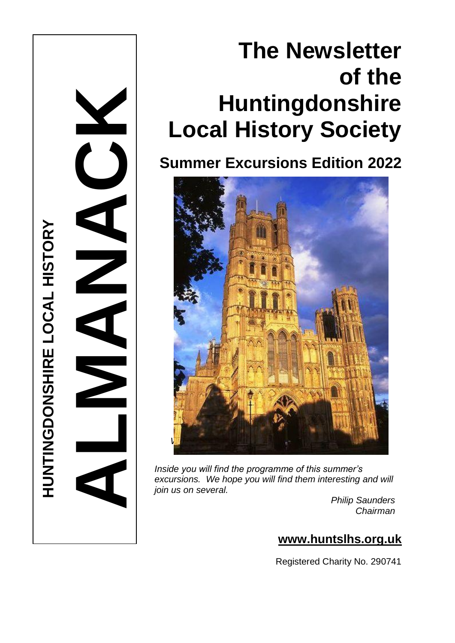# **The Newsletter of the Huntingdonshire Local History Society**

**Summer Excursions Edition 2022**



**HUNTINGDONSHIRE LOCAL HISTORY** 

**HUNTINGDONSHIRE LOCAL HISTORY** 

**ALMANACK** 

*Inside you will find the programme of this summer's excursions. We hope you will find them interesting and will join us on several.*

*Philip Saunders Chairman*

# **www.huntslhs.org.uk**

Registered Charity No. 290741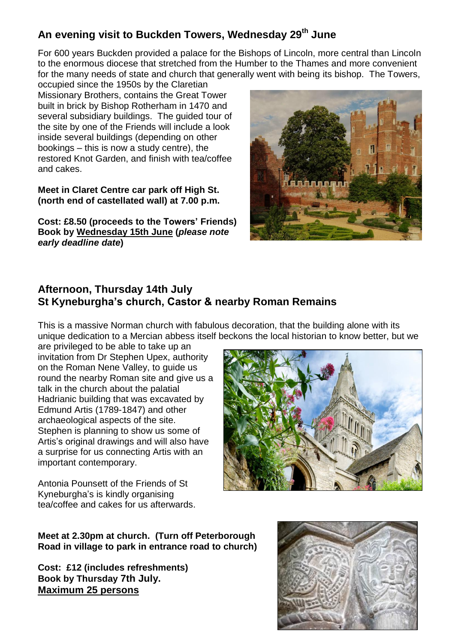## **An evening visit to Buckden Towers, Wednesday 29th June**

For 600 years Buckden provided a palace for the Bishops of Lincoln, more central than Lincoln to the enormous diocese that stretched from the Humber to the Thames and more convenient for the many needs of state and church that generally went with being its bishop. The Towers,

occupied since the 1950s by the Claretian Missionary Brothers, contains the Great Tower built in brick by Bishop Rotherham in 1470 and several subsidiary buildings. The guided tour of the site by one of the Friends will include a look inside several buildings (depending on other bookings – this is now a study centre), the restored Knot Garden, and finish with tea/coffee and cakes.

**Meet in Claret Centre car park off High St. (north end of castellated wall) at 7.00 p.m.** 

**Cost: £8.50 (proceeds to the Towers' Friends) Book by Wednesday 15th June (***please note early deadline date***)**



### **Afternoon, Thursday 14th July St Kyneburgha's church, Castor & nearby Roman Remains**

This is a massive Norman church with fabulous decoration, that the building alone with its unique dedication to a Mercian abbess itself beckons the local historian to know better, but we

are privileged to be able to take up an invitation from Dr Stephen Upex, authority on the Roman Nene Valley, to guide us round the nearby Roman site and give us a talk in the church about the palatial Hadrianic building that was excavated by Edmund Artis (1789-1847) and other archaeological aspects of the site. Stephen is planning to show us some of Artis's original drawings and will also have a surprise for us connecting Artis with an important contemporary.



Antonia Pounsett of the Friends of St Kyneburgha's is kindly organising tea/coffee and cakes for us afterwards.

**Meet at 2.30pm at church. (Turn off Peterborough Road in village to park in entrance road to church)** 

**Cost: £12 (includes refreshments) Book by Thursday 7th July. Maximum 25 persons**

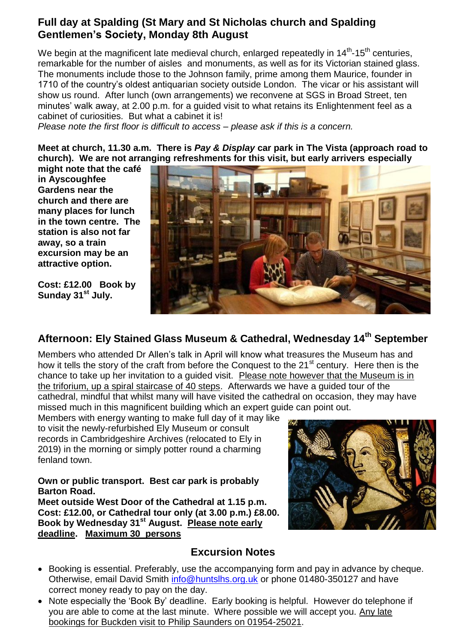## **Full day at Spalding (St Mary and St Nicholas church and Spalding Gentlemen's Society, Monday 8th August**

We begin at the magnificent late medieval church, enlarged repeatedly in 14<sup>th</sup>-15<sup>th</sup> centuries, remarkable for the number of aisles and monuments, as well as for its Victorian stained glass. The monuments include those to the Johnson family, prime among them Maurice, founder in 1710 of the country's oldest antiquarian society outside London. The vicar or his assistant will show us round. After lunch (own arrangements) we reconvene at SGS in Broad Street, ten minutes' walk away, at 2.00 p.m. for a guided visit to what retains its Enlightenment feel as a cabinet of curiosities. But what a cabinet it is!

*Please note the first floor is difficult to access – please ask if this is a concern.*

**Meet at church, 11.30 a.m. There is** *Pay & Display* **car park in The Vista (approach road to church). We are not arranging refreshments for this visit, but early arrivers especially** 

**might note that the café in Ayscoughfee Gardens near the church and there are many places for lunch in the town centre. The station is also not far away, so a train excursion may be an attractive option.**

**Cost: £12.00 Book by Sunday 31st July.**



# **Afternoon: Ely Stained Glass Museum & Cathedral, Wednesday 14th September**

Members who attended Dr Allen's talk in April will know what treasures the Museum has and how it tells the story of the craft from before the Conquest to the 21<sup>st</sup> century. Here then is the chance to take up her invitation to a guided visit. Please note however that the Museum is in the triforium, up a spiral staircase of 40 steps. Afterwards we have a guided tour of the cathedral, mindful that whilst many will have visited the cathedral on occasion, they may have missed much in this magnificent building which an expert guide can point out.

Members with energy wanting to make full day of it may like to visit the newly-refurbished Ely Museum or consult records in Cambridgeshire Archives (relocated to Ely in 2019) in the morning or simply potter round a charming fenland town.

#### **Own or public transport. Best car park is probably Barton Road.**

**Meet outside West Door of the Cathedral at 1.15 p.m. Cost: £12.00, or Cathedral tour only (at 3.00 p.m.) £8.00. Book by Wednesday 31st August. Please note early deadline. Maximum 30 persons**



## **Excursion Notes**

- Booking is essential. Preferably, use the accompanying form and pay in advance by cheque. Otherwise, email David Smith [info@huntslhs.org.uk](mailto:info@huntslhs.org.uk) or phone 01480-350127 and have correct money ready to pay on the day.
- Note especially the 'Book By' deadline. Early booking is helpful. However do telephone if you are able to come at the last minute. Where possible we will accept you. Any late bookings for Buckden visit to Philip Saunders on 01954-25021.